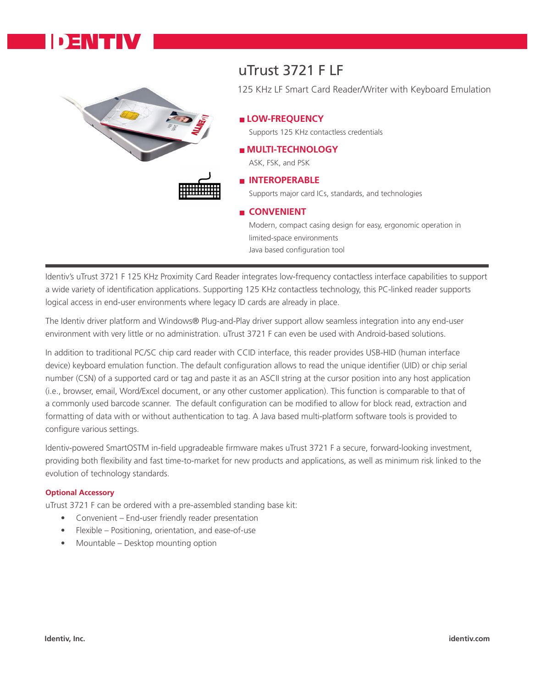



## uTrust 3721 F LF

125 KHz LF Smart Card Reader/Writer with Keyboard Emulation

#### **LOW-FREQUENCY**

Supports 125 KHz contactless credentials

### **MULTI-TECHNOLOGY**

ASK, FSK, and PSK

### **INTEROPERABLE**

Supports major card ICs, standards, and technologies

#### **CONVENIENT**

Modern, compact casing design for easy, ergonomic operation in limited-space environments Java based configuration tool

Identiv's uTrust 3721 F 125 KHz Proximity Card Reader integrates low-frequency contactless interface capabilities to support a wide variety of identification applications. Supporting 125 KHz contactless technology, this PC-linked reader supports logical access in end-user environments where legacy ID cards are already in place.

The Identiv driver platform and Windows® Plug-and-Play driver support allow seamless integration into any end-user environment with very little or no administration. uTrust 3721 F can even be used with Android-based solutions.

In addition to traditional PC/SC chip card reader with CCID interface, this reader provides USB-HID (human interface device) keyboard emulation function. The default configuration allows to read the unique identifier (UID) or chip serial number (CSN) of a supported card or tag and paste it as an ASCII string at the cursor position into any host application (i.e., browser, email, Word/Excel document, or any other customer application). This function is comparable to that of a commonly used barcode scanner. The default configuration can be modified to allow for block read, extraction and formatting of data with or without authentication to tag. A Java based multi-platform software tools is provided to configure various settings.

Identiv-powered SmartOSTM in-field upgradeable firmware makes uTrust 3721 F a secure, forward-looking investment, providing both flexibility and fast time-to-market for new products and applications, as well as minimum risk linked to the evolution of technology standards.

#### **Optional Accessory**

uTrust 3721 F can be ordered with a pre-assembled standing base kit:

- Convenient End-user friendly reader presentation
- Flexible Positioning, orientation, and ease-of-use
- Mountable Desktop mounting option